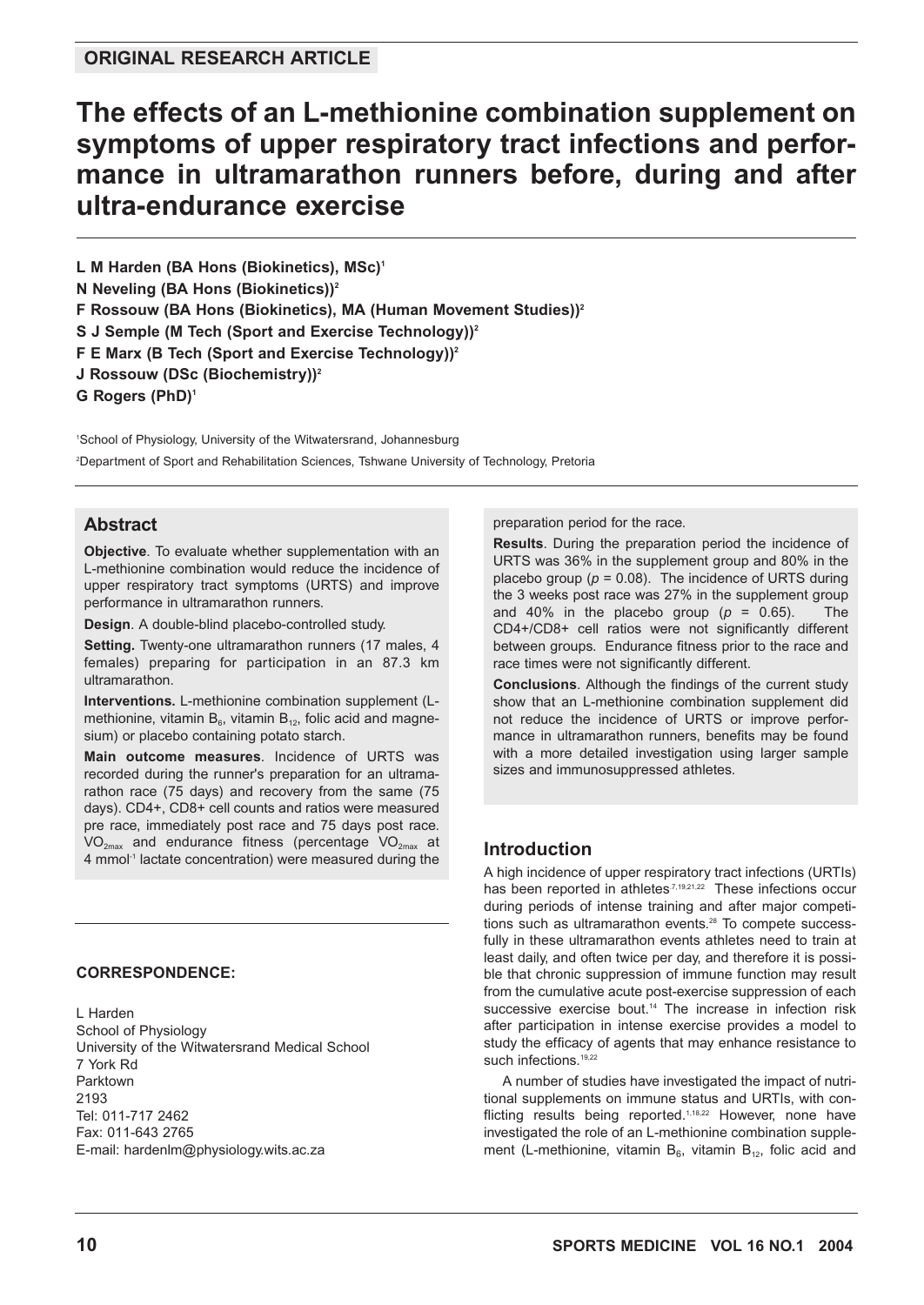# **The effects of an L-methionine combination supplement on symptoms of upper respiratory tract infections and performance in ultramarathon runners before, during and after ultra-endurance exercise**

L M Harden (BA Hons (Biokinetics), MSc)<sup>1</sup>

**N Neveling (BA Hons (Biokinetics))2**

**F Rossouw (BA Hons (Biokinetics), MA (Human Movement Studies))2**

**S J Semple (M Tech (Sport and Exercise Technology))2**

**F E Marx (B Tech (Sport and Exercise Technology))2**

**J Rossouw (DSc (Biochemistry))2**

**G Rogers (PhD)1**

1 School of Physiology, University of the Witwatersrand, Johannesburg 2 Department of Sport and Rehabilitation Sciences, Tshwane University of Technology, Pretoria

### **Abstract**

**Objective**. To evaluate whether supplementation with an L-methionine combination would reduce the incidence of upper respiratory tract symptoms (URTS) and improve performance in ultramarathon runners.

**Design**. A double-blind placebo-controlled study.

Setting. Twenty-one ultramarathon runners (17 males, 4 females) preparing for participation in an 87.3 km ultramarathon.

**Interventions.** L-methionine combination supplement (Lmethionine, vitamin  $B_6$ , vitamin  $B_{12}$ , folic acid and magnesium) or placebo containing potato starch.

**Main outcome measures**. Incidence of URTS was recorded during the runner's preparation for an ultramarathon race (75 days) and recovery from the same (75 days). CD4+, CD8+ cell counts and ratios were measured pre race, immediately post race and 75 days post race.  $VO_{2max}$  and endurance fitness (percentage  $VO_{2max}$  at 4 mmol<sup>-1</sup> lactate concentration) were measured during the

#### **CORRESPONDENCE:**

L Harden School of Physiology University of the Witwatersrand Medical School 7 York Rd Parktown 2193 Tel: 011-717 2462 Fax: 011-643 2765 E-mail: hardenlm@physiology.wits.ac.za

preparation period for the race.

**Results**. During the preparation period the incidence of URTS was 36% in the supplement group and 80% in the placebo group ( $p = 0.08$ ). The incidence of URTS during the 3 weeks post race was 27% in the supplement group and 40% in the placebo group  $(p = 0.65)$ . The CD4+/CD8+ cell ratios were not significantly different between groups. Endurance fitness prior to the race and race times were not significantly different.

**Conclusions**. Although the findings of the current study show that an L-methionine combination supplement did not reduce the incidence of URTS or improve performance in ultramarathon runners, benefits may be found with a more detailed investigation using larger sample sizes and immunosuppressed athletes.

### **Introduction**

A high incidence of upper respiratory tract infections (URTIs) has been reported in athletes<sup>7,19,21,22</sup> These infections occur during periods of intense training and after major competitions such as ultramarathon events.<sup>28</sup> To compete successfully in these ultramarathon events athletes need to train at least daily, and often twice per day, and therefore it is possible that chronic suppression of immune function may result from the cumulative acute post-exercise suppression of each successive exercise bout.<sup>14</sup> The increase in infection risk after participation in intense exercise provides a model to study the efficacy of agents that may enhance resistance to such infections.<sup>19,22</sup>

A number of studies have investigated the impact of nutritional supplements on immune status and URTIs, with conflicting results being reported.<sup>1,18,22</sup> However, none have investigated the role of an L-methionine combination supplement (L-methionine, vitamin  $B_6$ , vitamin  $B_{12}$ , folic acid and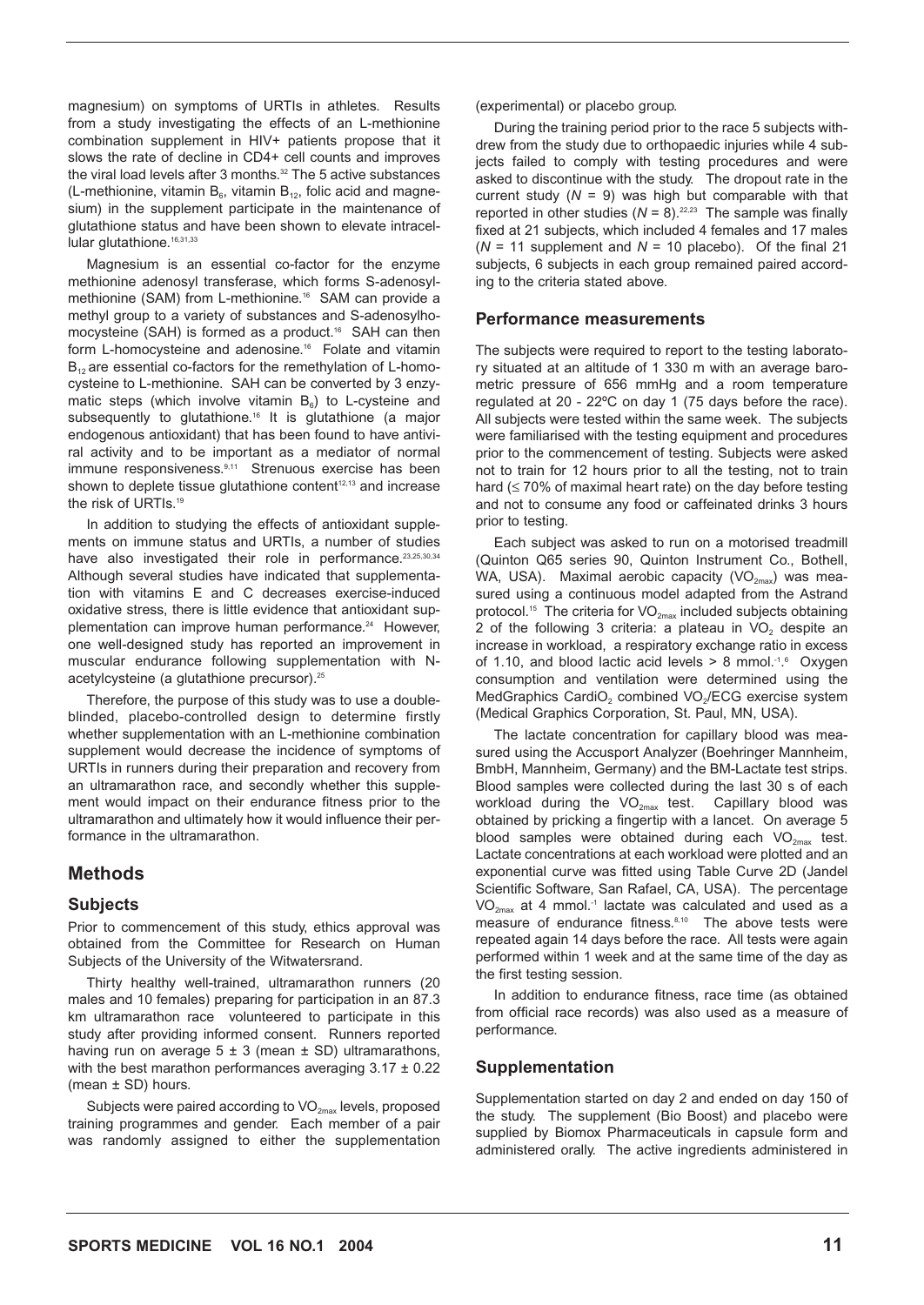magnesium) on symptoms of URTIs in athletes. Results from a study investigating the effects of an L-methionine combination supplement in HIV+ patients propose that it slows the rate of decline in CD4+ cell counts and improves the viral load levels after 3 months.<sup>32</sup> The 5 active substances (L-methionine, vitamin  $B_6$ , vitamin  $B_{12}$ , folic acid and magnesium) in the supplement participate in the maintenance of glutathione status and have been shown to elevate intracellular glutathione.<sup>16,31,33</sup>

Magnesium is an essential co-factor for the enzyme methionine adenosyl transferase, which forms S-adenosylmethionine (SAM) from L-methionine.<sup>16</sup> SAM can provide a methyl group to a variety of substances and S-adenosylhomocysteine (SAH) is formed as a product.<sup>16</sup> SAH can then form L-homocysteine and adenosine.16 Folate and vitamin  $B_{12}$  are essential co-factors for the remethylation of L-homocysteine to L-methionine. SAH can be converted by 3 enzymatic steps (which involve vitamin  $B_6$ ) to L-cysteine and subsequently to glutathione.<sup>16</sup> It is glutathione (a major endogenous antioxidant) that has been found to have antiviral activity and to be important as a mediator of normal immune responsiveness.<sup>9,11</sup> Strenuous exercise has been shown to deplete tissue glutathione content<sup>12,13</sup> and increase the risk of URTIs.<sup>19</sup>

In addition to studying the effects of antioxidant supplements on immune status and URTIs, a number of studies have also investigated their role in performance.<sup>23,25,30,34</sup> Although several studies have indicated that supplementation with vitamins E and C decreases exercise-induced oxidative stress, there is little evidence that antioxidant supplementation can improve human performance.<sup>24</sup> However, one well-designed study has reported an improvement in muscular endurance following supplementation with Nacetylcysteine (a glutathione precursor).<sup>25</sup>

Therefore, the purpose of this study was to use a doubleblinded, placebo-controlled design to determine firstly whether supplementation with an L-methionine combination supplement would decrease the incidence of symptoms of URTIs in runners during their preparation and recovery from an ultramarathon race, and secondly whether this supplement would impact on their endurance fitness prior to the ultramarathon and ultimately how it would influence their performance in the ultramarathon.

### **Methods**

### **Subjects**

Prior to commencement of this study, ethics approval was obtained from the Committee for Research on Human Subjects of the University of the Witwatersrand.

Thirty healthy well-trained, ultramarathon runners (20 males and 10 females) preparing for participation in an 87.3 km ultramarathon race volunteered to participate in this study after providing informed consent. Runners reported having run on average  $5 \pm 3$  (mean  $\pm$  SD) ultramarathons, with the best marathon performances averaging  $3.17 \pm 0.22$ (mean ± SD) hours.

Subjects were paired according to  $VO_{2\text{max}}$  levels, proposed training programmes and gender. Each member of a pair was randomly assigned to either the supplementation

(experimental) or placebo group.

During the training period prior to the race 5 subjects withdrew from the study due to orthopaedic injuries while 4 subjects failed to comply with testing procedures and were asked to discontinue with the study. The dropout rate in the current study  $(N = 9)$  was high but comparable with that reported in other studies  $(N = 8)$ .<sup>22,23</sup> The sample was finally fixed at 21 subjects, which included 4 females and 17 males  $(N = 11$  supplement and  $N = 10$  placebo). Of the final 21 subjects, 6 subjects in each group remained paired according to the criteria stated above.

### **Performance measurements**

The subjects were required to report to the testing laboratory situated at an altitude of 1 330 m with an average barometric pressure of 656 mmHg and a room temperature regulated at 20 - 22ºC on day 1 (75 days before the race). All subjects were tested within the same week. The subjects were familiarised with the testing equipment and procedures prior to the commencement of testing. Subjects were asked not to train for 12 hours prior to all the testing, not to train hard ( $\leq$  70% of maximal heart rate) on the day before testing and not to consume any food or caffeinated drinks 3 hours prior to testing.

Each subject was asked to run on a motorised treadmill (Quinton Q65 series 90, Quinton Instrument Co., Bothell, WA, USA). Maximal aerobic capacity  $(VO_{2max})$  was measured using a continuous model adapted from the Astrand protocol.<sup>15</sup> The criteria for  $VO_{2\text{max}}$  included subjects obtaining 2 of the following 3 criteria: a plateau in  $VO<sub>2</sub>$  despite an increase in workload, a respiratory exchange ratio in excess of 1.10, and blood lactic acid levels  $> 8$  mmol.<sup>-1.6</sup> Oxygen consumption and ventilation were determined using the MedGraphics CardiO<sub>2</sub> combined VO<sub>2</sub>/ECG exercise system (Medical Graphics Corporation, St. Paul, MN, USA).

The lactate concentration for capillary blood was measured using the Accusport Analyzer (Boehringer Mannheim, BmbH, Mannheim, Germany) and the BM-Lactate test strips. Blood samples were collected during the last 30 s of each workload during the  $VO_{2\text{max}}$  test. Capillary blood was obtained by pricking a fingertip with a lancet. On average 5 blood samples were obtained during each  $VO_{2\text{max}}$  test. Lactate concentrations at each workload were plotted and an exponential curve was fitted using Table Curve 2D (Jandel Scientific Software, San Rafael, CA, USA). The percentage  $VO<sub>2max</sub>$  at 4 mmol.<sup>-1</sup> lactate was calculated and used as a measure of endurance fitness.<sup>8,10</sup> The above tests were repeated again 14 days before the race. All tests were again performed within 1 week and at the same time of the day as the first testing session.

In addition to endurance fitness, race time (as obtained from official race records) was also used as a measure of performance.

### **Supplementation**

Supplementation started on day 2 and ended on day 150 of the study. The supplement (Bio Boost) and placebo were supplied by Biomox Pharmaceuticals in capsule form and administered orally. The active ingredients administered in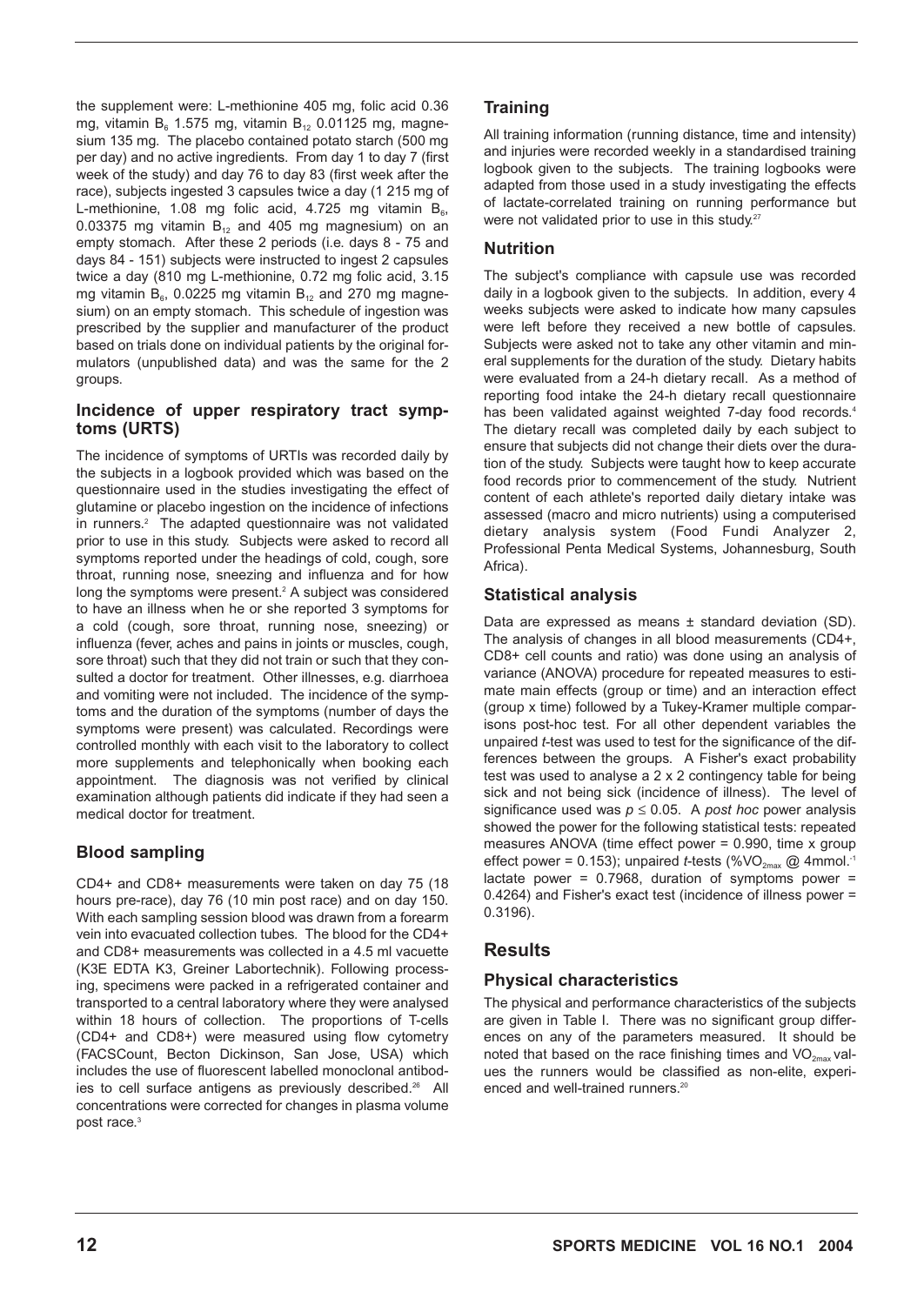the supplement were: L-methionine 405 mg, folic acid 0.36 mg, vitamin B<sub>6</sub> 1.575 mg, vitamin B<sub>12</sub> 0.01125 mg, magnesium 135 mg. The placebo contained potato starch (500 mg per day) and no active ingredients. From day 1 to day 7 (first week of the study) and day 76 to day 83 (first week after the race), subjects ingested 3 capsules twice a day (1 215 mg of L-methionine, 1.08 mg folic acid, 4.725 mg vitamin  $B_6$ , 0.03375 mg vitamin  $B_{12}$  and 405 mg magnesium) on an empty stomach. After these 2 periods (i.e. days 8 - 75 and days 84 - 151) subjects were instructed to ingest 2 capsules twice a day (810 mg L-methionine, 0.72 mg folic acid, 3.15 mg vitamin  $B_6$ , 0.0225 mg vitamin  $B_{12}$  and 270 mg magnesium) on an empty stomach. This schedule of ingestion was prescribed by the supplier and manufacturer of the product based on trials done on individual patients by the original formulators (unpublished data) and was the same for the 2 groups.

### **Incidence of upper respiratory tract symptoms (URTS)**

The incidence of symptoms of URTIs was recorded daily by the subjects in a logbook provided which was based on the questionnaire used in the studies investigating the effect of glutamine or placebo ingestion on the incidence of infections in runners.<sup>2</sup> The adapted questionnaire was not validated prior to use in this study. Subjects were asked to record all symptoms reported under the headings of cold, cough, sore throat, running nose, sneezing and influenza and for how long the symptoms were present.<sup>2</sup> A subject was considered to have an illness when he or she reported 3 symptoms for a cold (cough, sore throat, running nose, sneezing) or influenza (fever, aches and pains in joints or muscles, cough, sore throat) such that they did not train or such that they consulted a doctor for treatment. Other illnesses, e.g. diarrhoea and vomiting were not included. The incidence of the symptoms and the duration of the symptoms (number of days the symptoms were present) was calculated. Recordings were controlled monthly with each visit to the laboratory to collect more supplements and telephonically when booking each appointment. The diagnosis was not verified by clinical examination although patients did indicate if they had seen a medical doctor for treatment.

# **Blood sampling**

CD4+ and CD8+ measurements were taken on day 75 (18 hours pre-race), day 76 (10 min post race) and on day 150. With each sampling session blood was drawn from a forearm vein into evacuated collection tubes. The blood for the CD4+ and CD8+ measurements was collected in a 4.5 ml vacuette (K3E EDTA K3, Greiner Labortechnik). Following processing, specimens were packed in a refrigerated container and transported to a central laboratory where they were analysed within 18 hours of collection. The proportions of T-cells (CD4+ and CD8+) were measured using flow cytometry (FACSCount, Becton Dickinson, San Jose, USA) which includes the use of fluorescent labelled monoclonal antibodies to cell surface antigens as previously described.<sup>26</sup> All concentrations were corrected for changes in plasma volume post race.<sup>3</sup>

All training information (running distance, time and intensity) and injuries were recorded weekly in a standardised training logbook given to the subjects. The training logbooks were adapted from those used in a study investigating the effects of lactate-correlated training on running performance but were not validated prior to use in this study.<sup>27</sup>

# **Nutrition**

The subject's compliance with capsule use was recorded daily in a logbook given to the subjects. In addition, every 4 weeks subjects were asked to indicate how many capsules were left before they received a new bottle of capsules. Subjects were asked not to take any other vitamin and mineral supplements for the duration of the study. Dietary habits were evaluated from a 24-h dietary recall. As a method of reporting food intake the 24-h dietary recall questionnaire has been validated against weighted 7-day food records.<sup>4</sup> The dietary recall was completed daily by each subject to ensure that subjects did not change their diets over the duration of the study. Subjects were taught how to keep accurate food records prior to commencement of the study. Nutrient content of each athlete's reported daily dietary intake was assessed (macro and micro nutrients) using a computerised dietary analysis system (Food Fundi Analyzer 2, Professional Penta Medical Systems, Johannesburg, South Africa).

# **Statistical analysis**

Data are expressed as means ± standard deviation (SD). The analysis of changes in all blood measurements (CD4+, CD8+ cell counts and ratio) was done using an analysis of variance (ANOVA) procedure for repeated measures to estimate main effects (group or time) and an interaction effect (group x time) followed by a Tukey-Kramer multiple comparisons post-hoc test. For all other dependent variables the unpaired *t*-test was used to test for the significance of the differences between the groups. A Fisher's exact probability test was used to analyse a 2 x 2 contingency table for being sick and not being sick (incidence of illness). The level of significance used was  $p \le 0.05$ . A *post hoc* power analysis showed the power for the following statistical tests: repeated measures ANOVA (time effect power = 0.990, time x group effect power = 0.153); unpaired *t*-tests (%VO<sub>2max</sub> @ 4mmol.<sup>-1</sup> lactate power =  $0.7968$ , duration of symptoms power = 0.4264) and Fisher's exact test (incidence of illness power = 0.3196).

# **Results**

# **Physical characteristics**

The physical and performance characteristics of the subjects are given in Table I. There was no significant group differences on any of the parameters measured. It should be noted that based on the race finishing times and  $VO_{2\text{max}}$  values the runners would be classified as non-elite, experienced and well-trained runners.<sup>20</sup>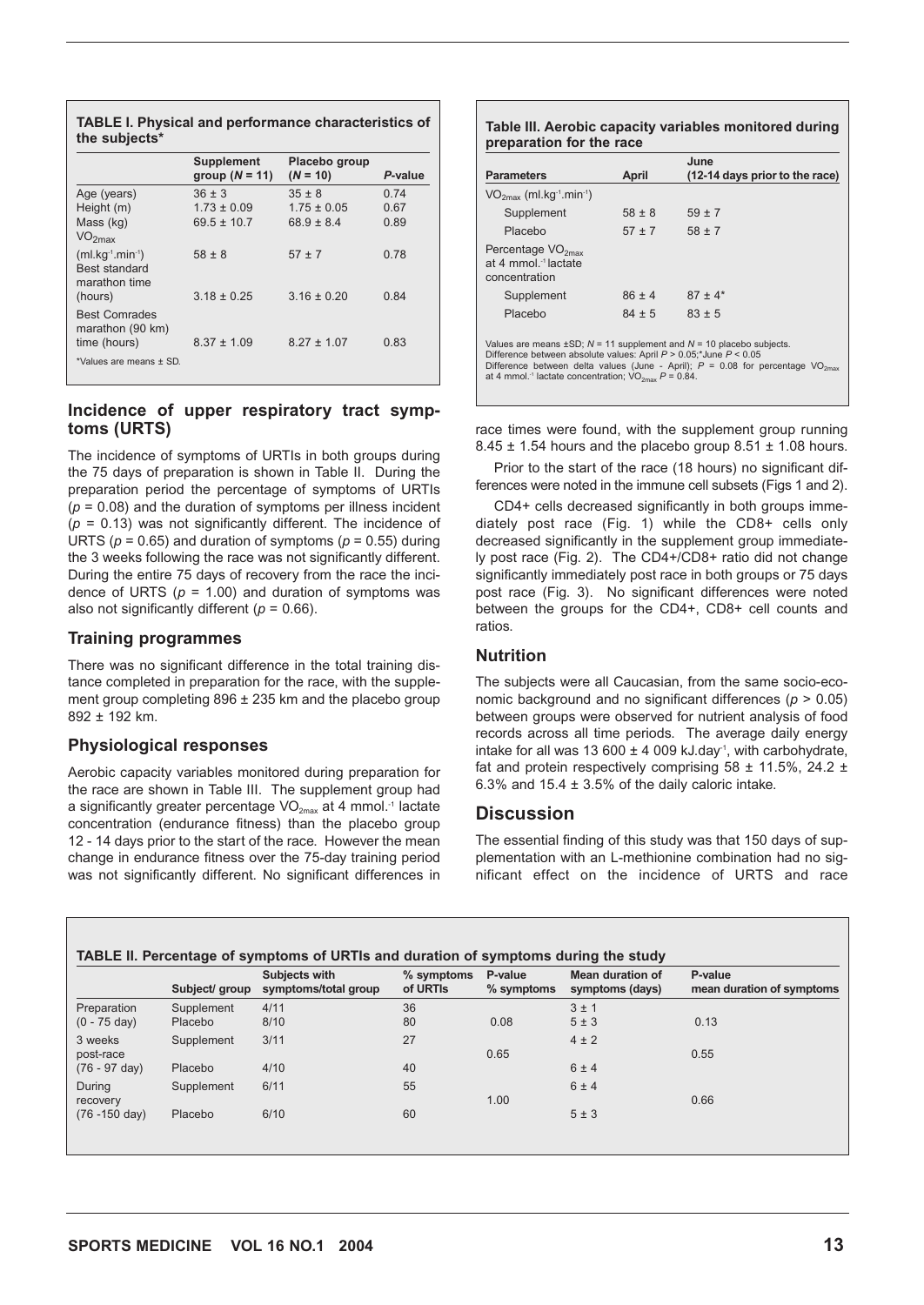|                                                          | <b>Supplement</b><br>group $(N = 11)$ | Placebo group<br>$(N = 10)$ | P-value |
|----------------------------------------------------------|---------------------------------------|-----------------------------|---------|
| Age (years)                                              | $36 \pm 3$                            | $35 \pm 8$                  | 0.74    |
| Height (m)                                               | $1.73 \pm 0.09$                       | $1.75 \pm 0.05$             | 0.67    |
| Mass (kg)                                                | $695 + 107$                           | $689 + 84$                  | 0.89    |
| VO <sub>2max</sub>                                       |                                       |                             |         |
| $(ml.kq-1.min-1)$                                        | $58 \pm 8$                            | $57 + 7$                    | 0.78    |
| <b>Best standard</b><br>marathon time<br>(hours)         | $3.18 \pm 0.25$                       | $3.16 \pm 0.20$             | 0.84    |
| <b>Best Comrades</b><br>marathon (90 km)<br>time (hours) | $8.37 \pm 1.09$                       | $8.27 \pm 1.07$             | 0 83    |
| *Values are means ± SD.                                  |                                       |                             |         |

#### **TABLE I. Physical and performance characteristics of the subjects\***

### **Incidence of upper respiratory tract symptoms (URTS)**

The incidence of symptoms of URTIs in both groups during the 75 days of preparation is shown in Table II. During the preparation period the percentage of symptoms of URTIs  $(p = 0.08)$  and the duration of symptoms per illness incident (*p* = 0.13) was not significantly different. The incidence of URTS ( $p = 0.65$ ) and duration of symptoms ( $p = 0.55$ ) during the 3 weeks following the race was not significantly different. During the entire 75 days of recovery from the race the incidence of URTS  $(p = 1.00)$  and duration of symptoms was also not significantly different ( $p = 0.66$ ).

### **Training programmes**

There was no significant difference in the total training distance completed in preparation for the race, with the supplement group completing 896 ± 235 km and the placebo group 892 ± 192 km.

### **Physiological responses**

Aerobic capacity variables monitored during preparation for the race are shown in Table III. The supplement group had a significantly greater percentage  $VO_{2\text{max}}$  at 4 mmol.<sup>-1</sup> lactate concentration (endurance fitness) than the placebo group 12 - 14 days prior to the start of the race. However the mean change in endurance fitness over the 75-day training period was not significantly different. No significant differences in

#### **Table III. Aerobic capacity variables monitored during preparation for the race**

| <b>Parameters</b>                                                                                                                                                                                                                                                                                                             | April      | June<br>(12-14 days prior to the race) |  |  |  |
|-------------------------------------------------------------------------------------------------------------------------------------------------------------------------------------------------------------------------------------------------------------------------------------------------------------------------------|------------|----------------------------------------|--|--|--|
|                                                                                                                                                                                                                                                                                                                               |            |                                        |  |  |  |
| $VO2max$ (ml.kg <sup>-1</sup> .min <sup>-1</sup> )                                                                                                                                                                                                                                                                            |            |                                        |  |  |  |
| Supplement                                                                                                                                                                                                                                                                                                                    | $58 \pm 8$ | $59 + 7$                               |  |  |  |
| Placebo                                                                                                                                                                                                                                                                                                                       | $57 \pm 7$ | $58 \pm 7$                             |  |  |  |
| Percentage $VO2max$<br>at 4 mmol <sup>-1</sup> lactate<br>concentration                                                                                                                                                                                                                                                       |            |                                        |  |  |  |
| Supplement                                                                                                                                                                                                                                                                                                                    | $86 + 4$   | $87 + 4*$                              |  |  |  |
| Placebo                                                                                                                                                                                                                                                                                                                       | $84 \pm 5$ | $83 \pm 5$                             |  |  |  |
| Values are means $\pm$ SD; N = 11 supplement and N = 10 placebo subjects.<br>Difference between absolute values: April $P > 0.05$ ;*June $P < 0.05$<br>Difference between delta values (June - April); $P = 0.08$ for percentage VO <sub>2mav</sub><br>at 4 mmol. <sup>-1</sup> lactate concentration; $VO_{2max} P = 0.84$ . |            |                                        |  |  |  |

race times were found, with the supplement group running  $8.45 \pm 1.54$  hours and the placebo group  $8.51 \pm 1.08$  hours.

Prior to the start of the race (18 hours) no significant differences were noted in the immune cell subsets (Figs 1 and 2).

CD4+ cells decreased significantly in both groups immediately post race (Fig. 1) while the CD8+ cells only decreased significantly in the supplement group immediately post race (Fig. 2). The CD4+/CD8+ ratio did not change significantly immediately post race in both groups or 75 days post race (Fig. 3). No significant differences were noted between the groups for the CD4+, CD8+ cell counts and ratios.

### **Nutrition**

The subjects were all Caucasian, from the same socio-economic background and no significant differences (*p* > 0.05) between groups were observed for nutrient analysis of food records across all time periods. The average daily energy intake for all was 13 600  $\pm$  4 009 kJ.day<sup>-1</sup>, with carbohydrate, fat and protein respectively comprising  $58 \pm 11.5$ %, 24.2  $\pm$ 6.3% and 15.4  $\pm$  3.5% of the daily caloric intake.

### **Discussion**

The essential finding of this study was that 150 days of supplementation with an L-methionine combination had no significant effect on the incidence of URTS and race

|                          | Subject/ group | Subjects with<br>symptoms/total group | $%$ symptoms<br>of URTIs | P-value<br>$%$ symptoms | <b>Mean duration of</b><br>symptoms (days) | P-value<br>mean duration of symptoms |
|--------------------------|----------------|---------------------------------------|--------------------------|-------------------------|--------------------------------------------|--------------------------------------|
|                          |                |                                       |                          |                         |                                            |                                      |
| Preparation              | Supplement     | 4/11                                  | 36                       |                         | 3±1                                        |                                      |
| $(0 - 75 \text{ day})$   | Placebo        | 8/10                                  | 80                       | 0.08                    | 5±3                                        | 0.13                                 |
| 3 weeks                  | Supplement     | 3/11                                  | 27                       |                         | $4 \pm 2$                                  |                                      |
| post-race                |                |                                       |                          | 0.65                    |                                            | 0.55                                 |
| $(76 - 97 \text{ day})$  | Placebo        | 4/10                                  | 40                       |                         | 6±4                                        |                                      |
| During                   | Supplement     | 6/11                                  | 55                       |                         | 6±4                                        |                                      |
| recovery                 |                |                                       |                          | 1.00                    |                                            | 0.66                                 |
| $(76 - 150 \text{ day})$ | Placebo        | 6/10                                  | 60                       |                         | 5±3                                        |                                      |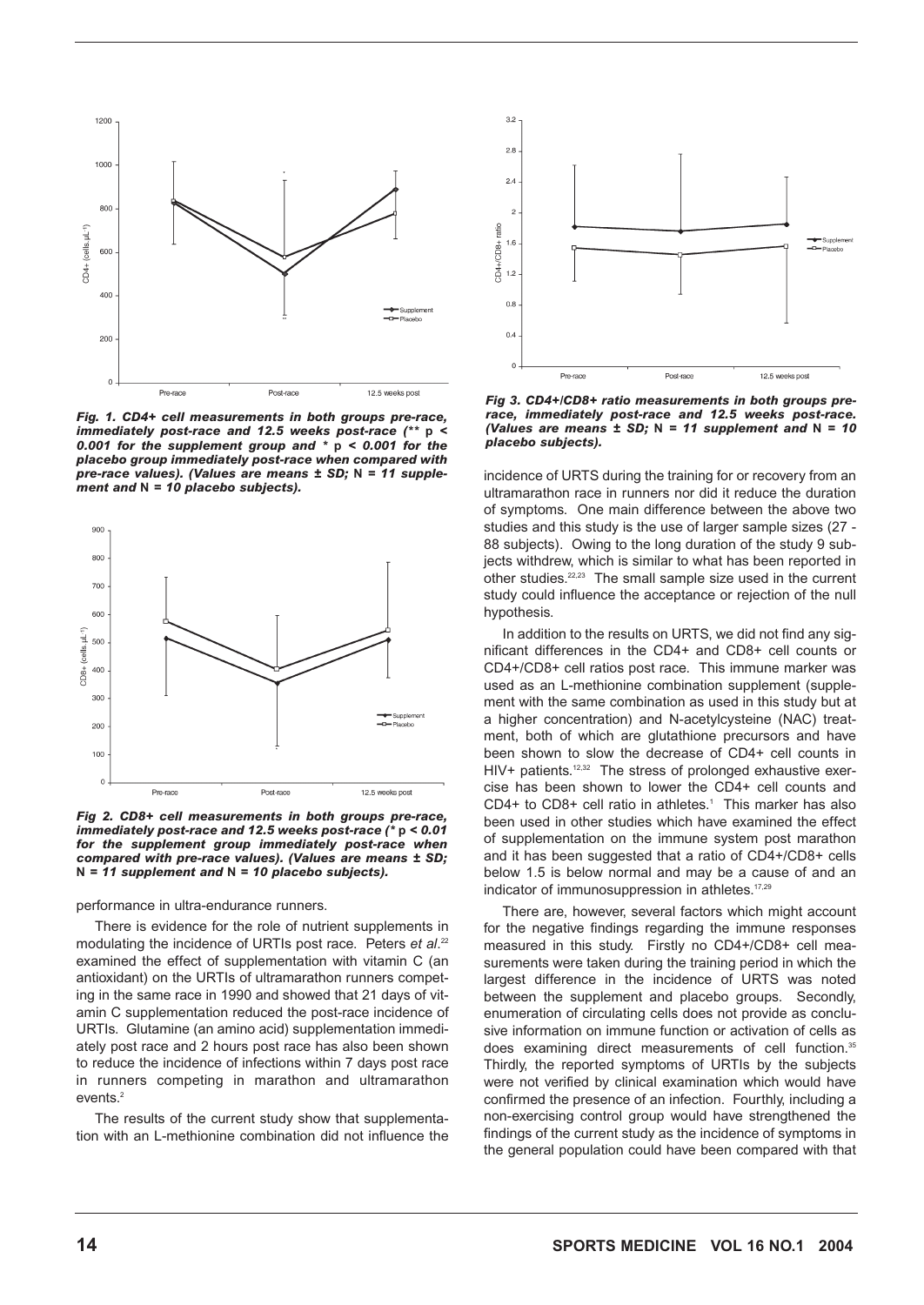

*Fig. 1. CD4+ cell measurements in both groups pre-race, immediately post-race and 12.5 weeks post-race (\*\** **p** *< 0.001 for the supplement group and \** **p** *< 0.001 for the placebo group immediately post-race when compared with pre-race values). (Values are means ± SD;* **N** *= 11 supplement and* **N** *= 10 placebo subjects).*



*Fig 2. CD8+ cell measurements in both groups pre-race, immediately post-race and 12.5 weeks post-race (\** **p** *< 0.01 for the supplement group immediately post-race when compared with pre-race values). (Values are means ± SD;* **N** *= 11 supplement and* **N** *= 10 placebo subjects).*

performance in ultra-endurance runners.

There is evidence for the role of nutrient supplements in modulating the incidence of URTIs post race. Peters *et al*. 22 examined the effect of supplementation with vitamin C (an antioxidant) on the URTIs of ultramarathon runners competing in the same race in 1990 and showed that 21 days of vitamin C supplementation reduced the post-race incidence of URTIs. Glutamine (an amino acid) supplementation immediately post race and 2 hours post race has also been shown to reduce the incidence of infections within 7 days post race in runners competing in marathon and ultramarathon events.<sup>2</sup>

The results of the current study show that supplementation with an L-methionine combination did not influence the



*Fig 3. CD4+/CD8+ ratio measurements in both groups prerace, immediately post-race and 12.5 weeks post-race. (Values are means ± SD;* **N** *= 11 supplement and* **N** *= 10 placebo subjects).*

incidence of URTS during the training for or recovery from an ultramarathon race in runners nor did it reduce the duration of symptoms. One main difference between the above two studies and this study is the use of larger sample sizes (27 - 88 subjects). Owing to the long duration of the study 9 subjects withdrew, which is similar to what has been reported in other studies.22,23 The small sample size used in the current study could influence the acceptance or rejection of the null hypothesis.

In addition to the results on URTS, we did not find any significant differences in the CD4+ and CD8+ cell counts or CD4+/CD8+ cell ratios post race. This immune marker was used as an L-methionine combination supplement (supplement with the same combination as used in this study but at a higher concentration) and N-acetylcysteine (NAC) treatment, both of which are glutathione precursors and have been shown to slow the decrease of CD4+ cell counts in HIV+ patients.<sup>12,32</sup> The stress of prolonged exhaustive exercise has been shown to lower the CD4+ cell counts and CD4+ to CD8+ cell ratio in athletes.<sup>1</sup> This marker has also been used in other studies which have examined the effect of supplementation on the immune system post marathon and it has been suggested that a ratio of CD4+/CD8+ cells below 1.5 is below normal and may be a cause of and an indicator of immunosuppression in athletes.<sup>17,29</sup>

There are, however, several factors which might account for the negative findings regarding the immune responses measured in this study. Firstly no CD4+/CD8+ cell measurements were taken during the training period in which the largest difference in the incidence of URTS was noted between the supplement and placebo groups. Secondly, enumeration of circulating cells does not provide as conclusive information on immune function or activation of cells as does examining direct measurements of cell function.<sup>35</sup> Thirdly, the reported symptoms of URTIs by the subjects were not verified by clinical examination which would have confirmed the presence of an infection. Fourthly, including a non-exercising control group would have strengthened the findings of the current study as the incidence of symptoms in the general population could have been compared with that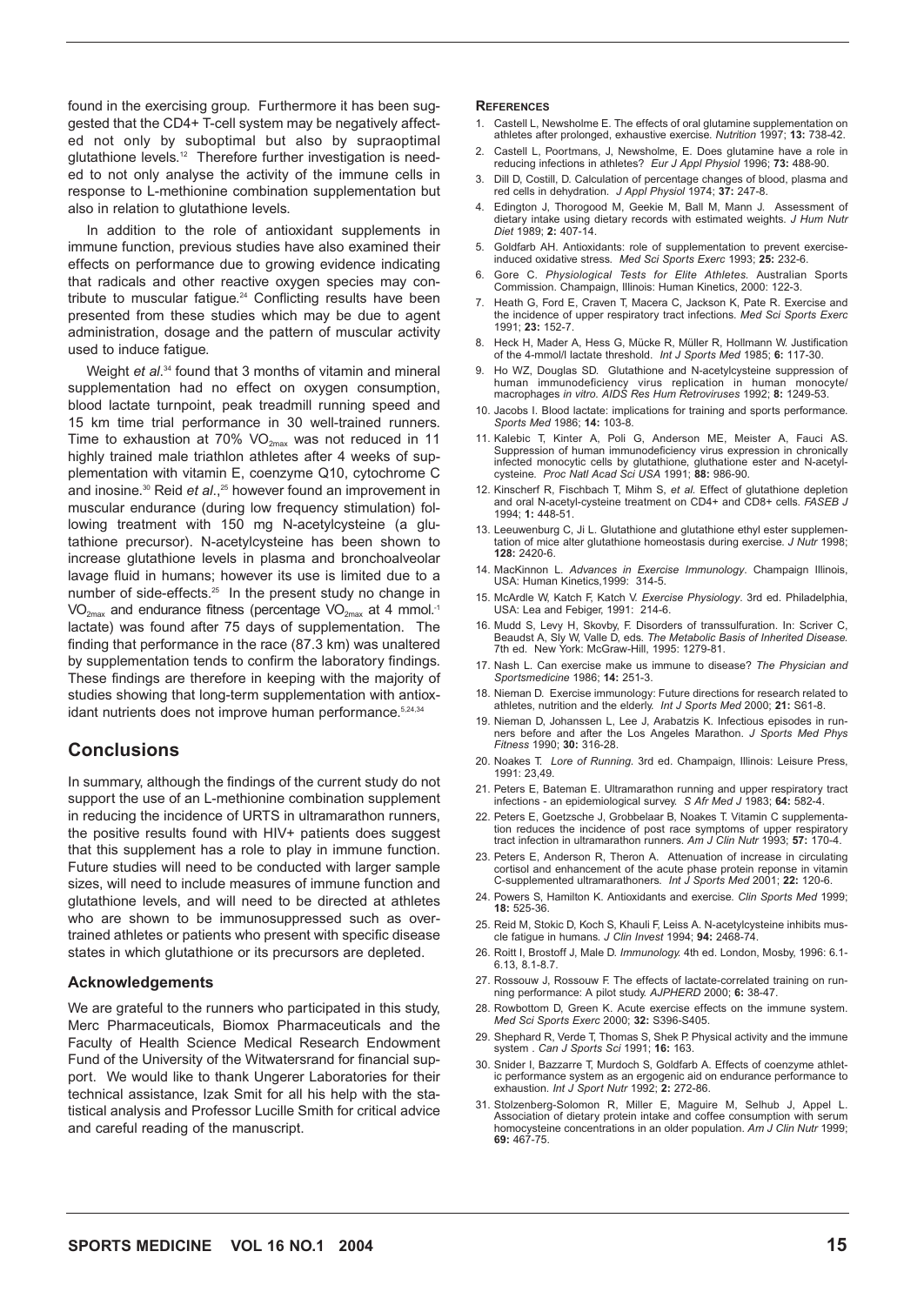found in the exercising group. Furthermore it has been suggested that the CD4+ T-cell system may be negatively affected not only by suboptimal but also by supraoptimal glutathione levels.<sup>12</sup> Therefore further investigation is needed to not only analyse the activity of the immune cells in response to L-methionine combination supplementation but also in relation to glutathione levels.

In addition to the role of antioxidant supplements in immune function, previous studies have also examined their effects on performance due to growing evidence indicating that radicals and other reactive oxygen species may contribute to muscular fatigue.<sup>24</sup> Conflicting results have been presented from these studies which may be due to agent administration, dosage and the pattern of muscular activity used to induce fatigue.

Weight *et al.*<sup>34</sup> found that 3 months of vitamin and mineral supplementation had no effect on oxygen consumption, blood lactate turnpoint, peak treadmill running speed and 15 km time trial performance in 30 well-trained runners. Time to exhaustion at 70%  $VO_{2\text{max}}$  was not reduced in 11 highly trained male triathlon athletes after 4 weeks of supplementation with vitamin E, coenzyme Q10, cytochrome C and inosine.<sup>30</sup> Reid *et al.*,<sup>25</sup> however found an improvement in muscular endurance (during low frequency stimulation) following treatment with 150 mg N-acetylcysteine (a glutathione precursor). N-acetylcysteine has been shown to increase glutathione levels in plasma and bronchoalveolar lavage fluid in humans; however its use is limited due to a number of side-effects.<sup>25</sup> In the present study no change in  $VO_{2\text{max}}$  and endurance fitness (percentage  $VO_{2\text{max}}$  at 4 mmol.<sup>-1</sup> lactate) was found after 75 days of supplementation. The finding that performance in the race (87.3 km) was unaltered by supplementation tends to confirm the laboratory findings. These findings are therefore in keeping with the majority of studies showing that long-term supplementation with antioxidant nutrients does not improve human performance.<sup>5,24,34</sup>

### **Conclusions**

In summary, although the findings of the current study do not support the use of an L-methionine combination supplement in reducing the incidence of URTS in ultramarathon runners, the positive results found with HIV+ patients does suggest that this supplement has a role to play in immune function. Future studies will need to be conducted with larger sample sizes, will need to include measures of immune function and glutathione levels, and will need to be directed at athletes who are shown to be immunosuppressed such as overtrained athletes or patients who present with specific disease states in which glutathione or its precursors are depleted.

#### **Acknowledgements**

We are grateful to the runners who participated in this study, Merc Pharmaceuticals, Biomox Pharmaceuticals and the Faculty of Health Science Medical Research Endowment Fund of the University of the Witwatersrand for financial support. We would like to thank Ungerer Laboratories for their technical assistance, Izak Smit for all his help with the statistical analysis and Professor Lucille Smith for critical advice and careful reading of the manuscript.

#### **REFERENCES**

- 1. Castell L, Newsholme E. The effects of oral glutamine supplementation on athletes after prolonged, exhaustive exercise. *Nutrition* 1997; **13:** 738-42.
- 2. Castell L, Poortmans, J, Newsholme, E. Does glutamine have a role in reducing infections in athletes? *Eur J Appl Physiol* 1996; **73:** 488-90.
- 3. Dill D, Costill, D. Calculation of percentage changes of blood, plasma and red cells in dehydration. *J Appl Physiol* 1974; **37:** 247-8.
- 4. Edington J, Thorogood M, Geekie M, Ball M, Mann J. Assessment of dietary intake using dietary records with estimated weights. *J Hum Nutr Diet* 1989; **2:** 407-14.
- 5. Goldfarb AH. Antioxidants: role of supplementation to prevent exerciseinduced oxidative stress. *Med Sci Sports Exerc* 1993; **25:** 232-6.
- 6. Gore C. *Physiological Tests for Elite Athletes.* Australian Sports Commission. Champaign, Illinois: Human Kinetics, 2000: 122-3.
- 7. Heath G, Ford E, Craven T, Macera C, Jackson K, Pate R. Exercise and the incidence of upper respiratory tract infections. *Med Sci Sports Exerc* 1991; **23:** 152-7.
- 8. Heck H, Mader A, Hess G, Mücke R, Müller R, Hollmann W. Justification of the 4-mmol/l lactate threshold. *Int J Sports Med* 1985; **6:** 117-30.
- Ho WZ, Douglas SD. Glutathione and N-acetylcysteine suppression of human immunodeficiency virus replication in human monocyte/ human immunodeficiency virus replication in human macrophages *in vitro. AIDS Res Hum Retroviruses* 1992; **8:** 1249-53.
- 10. Jacobs I. Blood lactate: implications for training and sports performance. *Sports Med* 1986; **14:** 103-8.
- 11. Kalebic T, Kinter A, Poli G, Anderson ME, Meister A, Fauci AS. Suppression of human immunodeficiency virus expression in chronically infected monocytic cells by glutathione, gluthatione ester and N-acetyl-cysteine. *Proc Natl Acad Sci USA* 1991; **88:** 986-90.
- 12. Kinscherf R, Fischbach T, Mihm S, *et al.* Effect of glutathione depletion and oral N-acetyl-cysteine treatment on CD4+ and CD8+ cells. *FASEB J* 1994; **1:** 448-51.
- 13. Leeuwenburg C, Ji L. Glutathione and glutathione ethyl ester supplementation of mice alter glutathione homeostasis during exercise. *J Nutr* 1998; **128:** 2420-6.
- 14. MacKinnon L. *Advances in Exercise Immunology*. Champaign Illinois, USA: Human Kinetics,1999: 314-5.
- 15. McArdle W, Katch F, Katch V. *Exercise Physiology*. 3rd ed. Philadelphia, USA: Lea and Febiger, 1991: 214-6.
- 16. Mudd S, Levy H, Skovby, F. Disorders of transsulfuration. In: Scriver C, Beaudst A, Sly W, Valle D, eds. *The Metabolic Basis of Inherited Disease.* 7th ed. New York: McGraw-Hill, 1995: 1279-81.
- 17. Nash L. Can exercise make us immune to disease? *The Physician and Sportsmedicine* 1986; **14:** 251-3.
- 18. Nieman D. Exercise immunology: Future directions for research related to athletes, nutrition and the elderly. *Int J Sports Med* 2000; **21:** S61-8.
- 19. Nieman D, Johanssen L, Lee J, Arabatzis K. Infectious episodes in runners before and after the Los Angeles Marathon. *J Sports Med Phys Fitness* 1990; **30:** 316-28.
- 20. Noakes T. *Lore of Running*. 3rd ed. Champaign, Illinois: Leisure Press, 1991: 23,49.
- 21. Peters E, Bateman E. Ultramarathon running and upper respiratory tract infections an epidemiological survey. *S Afr Med J* 1983; **64:** 582-4.
- 22. Peters E, Goetzsche J, Grobbelaar B, Noakes T. Vitamin C supplementation reduces the incidence of post race symptoms of upper respiratory tract infection in ultramarathon runners. *Am J Clin Nutr* 1993; **57:** 170-4.
- 23. Peters E, Anderson R, Theron A. Attenuation of increase in circulating cortisol and enhancement of the acute phase protein reponse in vitamin C-supplemented ultramarathoners. *Int J Sports Med* 2001; **22:** 120-6.
- 24. Powers S, Hamilton K. Antioxidants and exercise. *Clin Sports Med* 1999; **18:** 525-36.
- 25. Reid M, Stokic D, Koch S, Khauli F, Leiss A. N-acetylcysteine inhibits muscle fatigue in humans. *J Clin Invest* 1994; **94:** 2468-74.
- 26. Roitt I, Brostoff J, Male D. *Immunology.* 4th ed. London, Mosby, 1996: 6.1- 6.13, 8.1-8.7.
- 27. Rossouw J, Rossouw F. The effects of lactate-correlated training on running performance: A pilot study. *AJPHERD* 2000; **6:** 38-47.
- 28. Rowbottom D, Green K. Acute exercise effects on the immune system. *Med Sci Sports Exerc* 2000; **32:** S396-S405.
- 29. Shephard R, Verde T, Thomas S, Shek P. Physical activity and the immune system . *Can J Sports Sci* 1991; **16:** 163.
- 30. Snider I, Bazzarre T, Murdoch S, Goldfarb A. Effects of coenzyme athletic performance system as an ergogenic aid on endurance performance to exhaustion. *Int J Sport Nutr* 1992; **2:** 272-86.
- 31. Stolzenberg-Solomon R, Miller E, Maguire M, Selhub J, Appel L. Association of dietary protein intake and coffee consumption with serum homocysteine concentrations in an older population. *Am J Clin Nutr* 1999; **69:** 467-75.